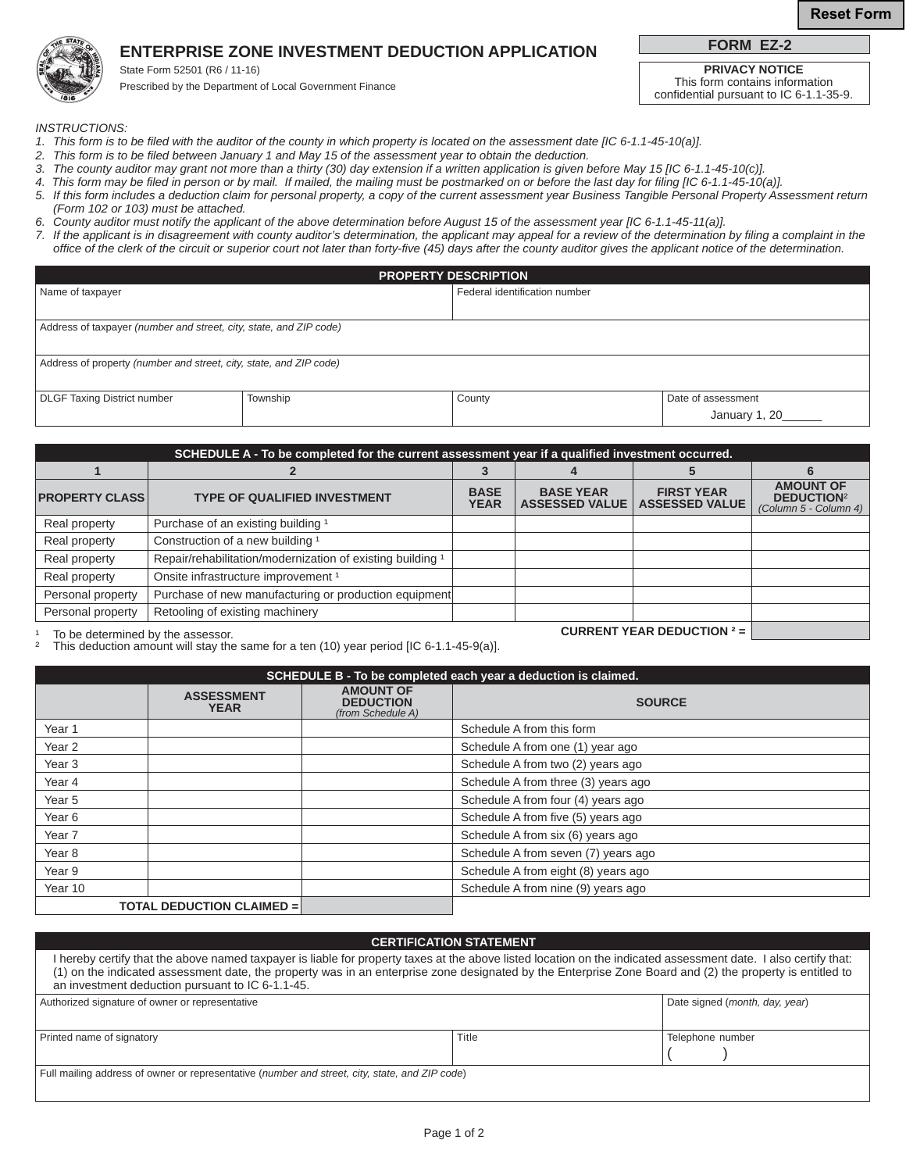# **ENTERPRISE ZONE INVESTMENT DEDUCTION APPLICATION**

State Form 52501 (R6 / 11-16) Prescribed by the Department of Local Government Finance **PRIVACY NOTICE**

This form contains information confidential pursuant to IC 6-1.1-35-9.

**FORM EZ-2**

*INSTRUCTIONS:* 

- *1. This form is to be filed with the auditor of the county in which property is located on the assessment date [IC 6-1.1-45-10(a)].*
- 2. This form is to be filed between January 1 and May 15 of the assessment year to obtain the deduction.
- *3. The county auditor may grant not more than a thirty (30) day extension if a written application is given before May 15 [IC 6-1.1-45-10(c)].*
- *4. This form may be filed in person or by mail. If mailed, the mailing must be postmarked on or before the last day for filing [IC 6-1.1-45-10(a)].*
- *5. If this form includes a deduction claim for personal property, a copy of the current assessment year Business Tangible Personal Property Assessment return (Form 102 or 103) must be attached.*
- *6. County auditor must notify the applicant of the above determination before August 15 of the assessment year [IC 6-1.1-45-11(a)].*
- 7. If the applicant is in disagreement with county auditor's determination, the applicant may appeal for a review of the determination by filing a complaint in the  *office of the clerk of the circuit or superior court not later than forty-five (45) days after the county auditor gives the applicant notice of the determination.*

|                                                                    |          | <b>PROPERTY DESCRIPTION</b>   |                     |
|--------------------------------------------------------------------|----------|-------------------------------|---------------------|
| Name of taxpayer                                                   |          | Federal identification number |                     |
|                                                                    |          |                               |                     |
| Address of taxpayer (number and street, city, state, and ZIP code) |          |                               |                     |
|                                                                    |          |                               |                     |
| Address of property (number and street, city, state, and ZIP code) |          |                               |                     |
|                                                                    |          |                               |                     |
| <b>DLGF Taxing District number</b>                                 | Township | County                        | Date of assessment  |
|                                                                    |          |                               | January 1, 20______ |

| SCHEDULE A - To be completed for the current assessment year if a qualified investment occurred. |                                                            |                            |                                           |                                                                                                                                                                                                                                                                                                                                                                                                                                                                   |                                                                |
|--------------------------------------------------------------------------------------------------|------------------------------------------------------------|----------------------------|-------------------------------------------|-------------------------------------------------------------------------------------------------------------------------------------------------------------------------------------------------------------------------------------------------------------------------------------------------------------------------------------------------------------------------------------------------------------------------------------------------------------------|----------------------------------------------------------------|
|                                                                                                  |                                                            |                            |                                           |                                                                                                                                                                                                                                                                                                                                                                                                                                                                   |                                                                |
| <b>PROPERTY CLASS</b>                                                                            | <b>TYPE OF QUALIFIED INVESTMENT</b>                        | <b>BASE</b><br><b>YEAR</b> | <b>BASE YEAR</b><br><b>ASSESSED VALUE</b> | <b>FIRST YEAR</b><br><b>ASSESSED VALUE</b>                                                                                                                                                                                                                                                                                                                                                                                                                        | <b>AMOUNT OF</b><br><b>DEDUCTION2</b><br>(Column 5 - Column 4) |
| Real property                                                                                    | Purchase of an existing building 1                         |                            |                                           |                                                                                                                                                                                                                                                                                                                                                                                                                                                                   |                                                                |
| Real property                                                                                    | Construction of a new building 1                           |                            |                                           |                                                                                                                                                                                                                                                                                                                                                                                                                                                                   |                                                                |
| Real property                                                                                    | Repair/rehabilitation/modernization of existing building 1 |                            |                                           |                                                                                                                                                                                                                                                                                                                                                                                                                                                                   |                                                                |
| Real property                                                                                    | Onsite infrastructure improvement <sup>1</sup>             |                            |                                           |                                                                                                                                                                                                                                                                                                                                                                                                                                                                   |                                                                |
| Personal property                                                                                | Purchase of new manufacturing or production equipment      |                            |                                           |                                                                                                                                                                                                                                                                                                                                                                                                                                                                   |                                                                |
| Personal property                                                                                | Retooling of existing machinery                            |                            |                                           |                                                                                                                                                                                                                                                                                                                                                                                                                                                                   |                                                                |
|                                                                                                  |                                                            |                            |                                           | $\begin{array}{c} \texttt{A} \cup \texttt{B} \cup \texttt{B} \cup \texttt{B} \cup \texttt{C} \cup \texttt{C} \cup \texttt{A} \cup \texttt{C} \end{array} \end{array} \begin{array}{c} \texttt{A} \cup \texttt{B} \cup \texttt{C} \cup \texttt{C} \cup \texttt{C} \cup \texttt{C} \cup \texttt{C} \cup \texttt{C} \cup \texttt{C} \cup \texttt{C} \cup \texttt{C} \cup \texttt{C} \cup \texttt{C} \cup \texttt{C} \cup \texttt{C} \cup \texttt{C} \cup \texttt{C}$ |                                                                |

<sup>1</sup> To be determined by the assessor.<br><sup>2</sup> This deduction amount will stay the same for a ten (10) year period IIC 6-1 1-45-9(a)] ² This deduction amount will stay the same for a ten (10) year period [IC 6-1.1-45-9(a)].

| SCHEDULE B - To be completed each year a deduction is claimed. |                                  |                                                           |                                     |
|----------------------------------------------------------------|----------------------------------|-----------------------------------------------------------|-------------------------------------|
|                                                                | <b>ASSESSMENT</b><br><b>YEAR</b> | <b>AMOUNT OF</b><br><b>DEDUCTION</b><br>(from Schedule A) | <b>SOURCE</b>                       |
| Year 1                                                         |                                  |                                                           | Schedule A from this form           |
| Year <sub>2</sub>                                              |                                  |                                                           | Schedule A from one (1) year ago    |
| Year <sub>3</sub>                                              |                                  |                                                           | Schedule A from two (2) years ago   |
| Year 4                                                         |                                  |                                                           | Schedule A from three (3) years ago |
| Year <sub>5</sub>                                              |                                  |                                                           | Schedule A from four (4) years ago  |
| Year <sub>6</sub>                                              |                                  |                                                           | Schedule A from five (5) years ago  |
| Year 7                                                         |                                  |                                                           | Schedule A from six (6) years ago   |
| Year 8                                                         |                                  |                                                           | Schedule A from seven (7) years ago |
| Year 9                                                         |                                  |                                                           | Schedule A from eight (8) years ago |
| Year 10                                                        |                                  |                                                           | Schedule A from nine (9) years ago  |
| <b>TOTAL DEDUCTION CLAIMED =</b>                               |                                  |                                                           |                                     |

#### **CERTIFICATION STATEMENT**

| I hereby certify that the above named taxpayer is liable for property taxes at the above listed location on the indicated assessment date. I also certify that:<br>(1) on the indicated assessment date, the property was in an enterprise zone designated by the Enterprise Zone Board and (2) the property is entitled to<br>an investment deduction pursuant to IC 6-1.1-45. |       |                                |  |  |
|---------------------------------------------------------------------------------------------------------------------------------------------------------------------------------------------------------------------------------------------------------------------------------------------------------------------------------------------------------------------------------|-------|--------------------------------|--|--|
| Authorized signature of owner or representative                                                                                                                                                                                                                                                                                                                                 |       | Date signed (month, day, year) |  |  |
| Printed name of signatory                                                                                                                                                                                                                                                                                                                                                       | Title | Telephone number               |  |  |
| Full mailing address of owner or representative (number and street, city, state, and ZIP code)                                                                                                                                                                                                                                                                                  |       |                                |  |  |